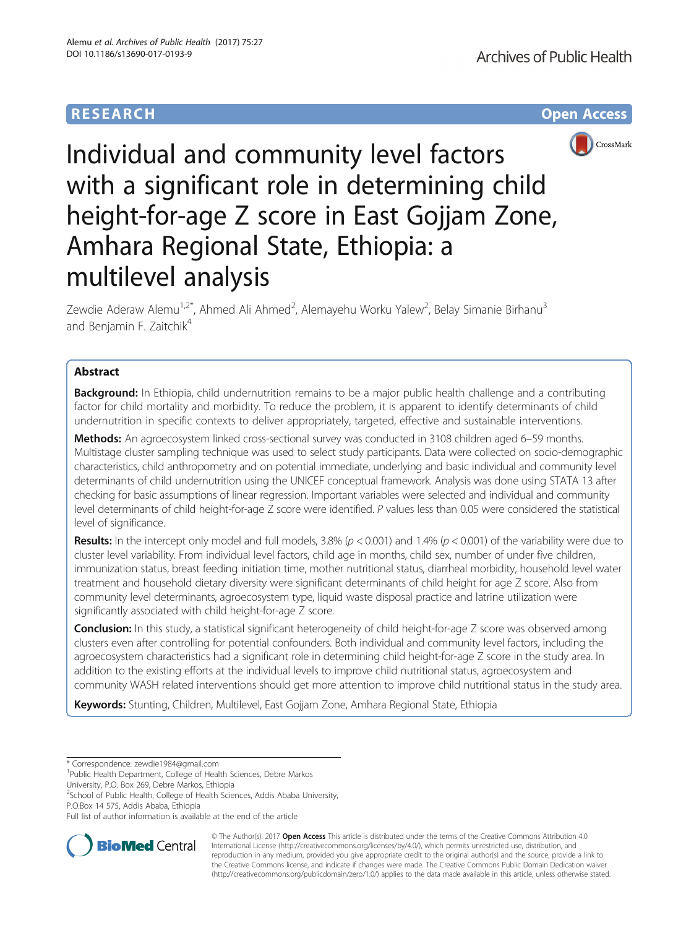# **RESEARCH CHE Open Access**



Individual and community level factors with a significant role in determining child height-for-age Z score in East Gojjam Zone, Amhara Regional State, Ethiopia: a multilevel analysis

Zewdie Aderaw Alemu<sup>1,2\*</sup>, Ahmed Ali Ahmed<sup>2</sup>, Alemayehu Worku Yalew<sup>2</sup>, Belay Simanie Birhanu<sup>3</sup> and Benjamin F. Zaitchik<sup>4</sup>

# Abstract

**Background:** In Ethiopia, child undernutrition remains to be a major public health challenge and a contributing factor for child mortality and morbidity. To reduce the problem, it is apparent to identify determinants of child undernutrition in specific contexts to deliver appropriately, targeted, effective and sustainable interventions.

Methods: An agroecosystem linked cross-sectional survey was conducted in 3108 children aged 6–59 months. Multistage cluster sampling technique was used to select study participants. Data were collected on socio-demographic characteristics, child anthropometry and on potential immediate, underlying and basic individual and community level determinants of child undernutrition using the UNICEF conceptual framework. Analysis was done using STATA 13 after checking for basic assumptions of linear regression. Important variables were selected and individual and community level determinants of child height-for-age Z score were identified. P values less than 0.05 were considered the statistical level of significance.

**Results:** In the intercept only model and full models,  $3.8\%$  ( $p < 0.001$ ) and  $1.4\%$  ( $p < 0.001$ ) of the variability were due to cluster level variability. From individual level factors, child age in months, child sex, number of under five children, immunization status, breast feeding initiation time, mother nutritional status, diarrheal morbidity, household level water treatment and household dietary diversity were significant determinants of child height for age Z score. Also from community level determinants, agroecosystem type, liquid waste disposal practice and latrine utilization were significantly associated with child height-for-age Z score.

Conclusion: In this study, a statistical significant heterogeneity of child height-for-age Z score was observed among clusters even after controlling for potential confounders. Both individual and community level factors, including the agroecosystem characteristics had a significant role in determining child height-for-age Z score in the study area. In addition to the existing efforts at the individual levels to improve child nutritional status, agroecosystem and community WASH related interventions should get more attention to improve child nutritional status in the study area.

Keywords: Stunting, Children, Multilevel, East Gojjam Zone, Amhara Regional State, Ethiopia

<sup>1</sup>Public Health Department, College of Health Sciences, Debre Markos

University, P.O. Box 269, Debre Markos, Ethiopia

<sup>2</sup>School of Public Health, College of Health Sciences, Addis Ababa University, P.O.Box 14 575, Addis Ababa, Ethiopia

Full list of author information is available at the end of the article



© The Author(s). 2017 **Open Access** This article is distributed under the terms of the Creative Commons Attribution 4.0 International License [\(http://creativecommons.org/licenses/by/4.0/](http://creativecommons.org/licenses/by/4.0/)), which permits unrestricted use, distribution, and reproduction in any medium, provided you give appropriate credit to the original author(s) and the source, provide a link to the Creative Commons license, and indicate if changes were made. The Creative Commons Public Domain Dedication waiver [\(http://creativecommons.org/publicdomain/zero/1.0/](http://creativecommons.org/publicdomain/zero/1.0/)) applies to the data made available in this article, unless otherwise stated.

<sup>\*</sup> Correspondence: [zewdie1984@gmail.com](mailto:zewdie1984@gmail.com) <sup>1</sup>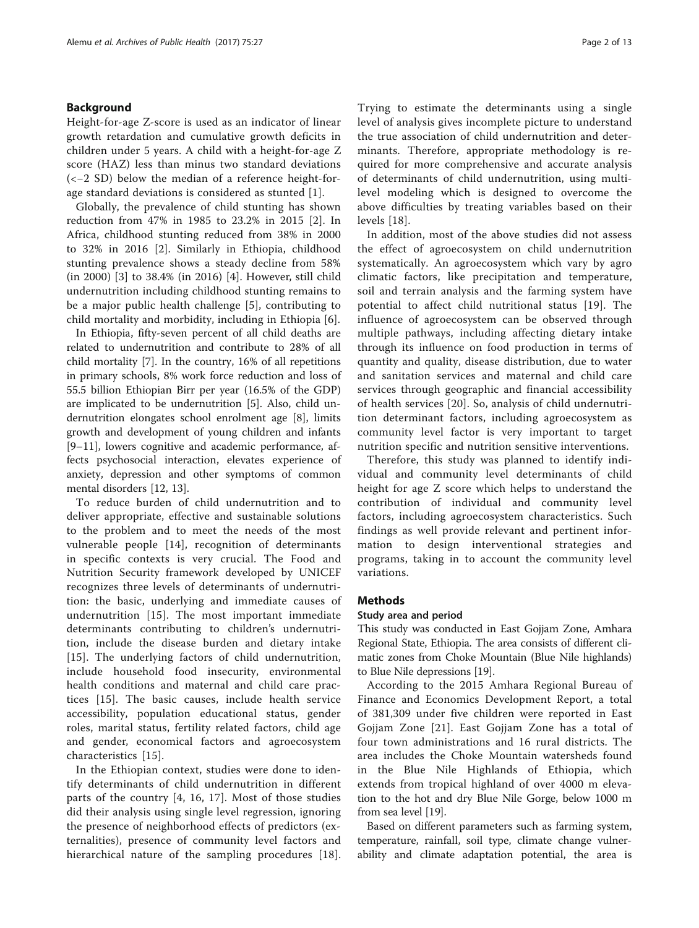## Background

Height-for-age Z-score is used as an indicator of linear growth retardation and cumulative growth deficits in children under 5 years. A child with a height-for-age Z score (HAZ) less than minus two standard deviations (<−2 SD) below the median of a reference height-forage standard deviations is considered as stunted [[1](#page-11-0)].

Globally, the prevalence of child stunting has shown reduction from 47% in 1985 to 23.2% in 2015 [[2\]](#page-11-0). In Africa, childhood stunting reduced from 38% in 2000 to 32% in 2016 [[2\]](#page-11-0). Similarly in Ethiopia, childhood stunting prevalence shows a steady decline from 58% (in 2000) [[3](#page-11-0)] to 38.4% (in 2016) [[4](#page-11-0)]. However, still child undernutrition including childhood stunting remains to be a major public health challenge [[5](#page-11-0)], contributing to child mortality and morbidity, including in Ethiopia [[6\]](#page-11-0).

In Ethiopia, fifty-seven percent of all child deaths are related to undernutrition and contribute to 28% of all child mortality [[7\]](#page-11-0). In the country, 16% of all repetitions in primary schools, 8% work force reduction and loss of 55.5 billion Ethiopian Birr per year (16.5% of the GDP) are implicated to be undernutrition [\[5](#page-11-0)]. Also, child undernutrition elongates school enrolment age [[8\]](#page-11-0), limits growth and development of young children and infants [[9](#page-11-0)–[11\]](#page-11-0), lowers cognitive and academic performance, affects psychosocial interaction, elevates experience of anxiety, depression and other symptoms of common mental disorders [\[12](#page-11-0), [13](#page-11-0)].

To reduce burden of child undernutrition and to deliver appropriate, effective and sustainable solutions to the problem and to meet the needs of the most vulnerable people [[14](#page-11-0)], recognition of determinants in specific contexts is very crucial. The Food and Nutrition Security framework developed by UNICEF recognizes three levels of determinants of undernutrition: the basic, underlying and immediate causes of undernutrition [\[15](#page-11-0)]. The most important immediate determinants contributing to children's undernutrition, include the disease burden and dietary intake [[15](#page-11-0)]. The underlying factors of child undernutrition, include household food insecurity, environmental health conditions and maternal and child care practices [\[15](#page-11-0)]. The basic causes, include health service accessibility, population educational status, gender roles, marital status, fertility related factors, child age and gender, economical factors and agroecosystem characteristics [\[15](#page-11-0)].

In the Ethiopian context, studies were done to identify determinants of child undernutrition in different parts of the country [[4, 16, 17](#page-11-0)]. Most of those studies did their analysis using single level regression, ignoring the presence of neighborhood effects of predictors (externalities), presence of community level factors and hierarchical nature of the sampling procedures [[18](#page-11-0)]. Trying to estimate the determinants using a single level of analysis gives incomplete picture to understand the true association of child undernutrition and determinants. Therefore, appropriate methodology is required for more comprehensive and accurate analysis of determinants of child undernutrition, using multilevel modeling which is designed to overcome the above difficulties by treating variables based on their levels [\[18](#page-11-0)].

In addition, most of the above studies did not assess the effect of agroecosystem on child undernutrition systematically. An agroecosystem which vary by agro climatic factors, like precipitation and temperature, soil and terrain analysis and the farming system have potential to affect child nutritional status [[19\]](#page-11-0). The influence of agroecosystem can be observed through multiple pathways, including affecting dietary intake through its influence on food production in terms of quantity and quality, disease distribution, due to water and sanitation services and maternal and child care services through geographic and financial accessibility of health services [\[20\]](#page-11-0). So, analysis of child undernutrition determinant factors, including agroecosystem as community level factor is very important to target nutrition specific and nutrition sensitive interventions.

Therefore, this study was planned to identify individual and community level determinants of child height for age Z score which helps to understand the contribution of individual and community level factors, including agroecosystem characteristics. Such findings as well provide relevant and pertinent information to design interventional strategies and programs, taking in to account the community level variations.

## **Methods**

## Study area and period

This study was conducted in East Gojjam Zone, Amhara Regional State, Ethiopia. The area consists of different climatic zones from Choke Mountain (Blue Nile highlands) to Blue Nile depressions [\[19\]](#page-11-0).

According to the 2015 Amhara Regional Bureau of Finance and Economics Development Report, a total of 381,309 under five children were reported in East Gojjam Zone [[21\]](#page-11-0). East Gojjam Zone has a total of four town administrations and 16 rural districts. The area includes the Choke Mountain watersheds found in the Blue Nile Highlands of Ethiopia, which extends from tropical highland of over 4000 m elevation to the hot and dry Blue Nile Gorge, below 1000 m from sea level [[19](#page-11-0)].

Based on different parameters such as farming system, temperature, rainfall, soil type, climate change vulnerability and climate adaptation potential, the area is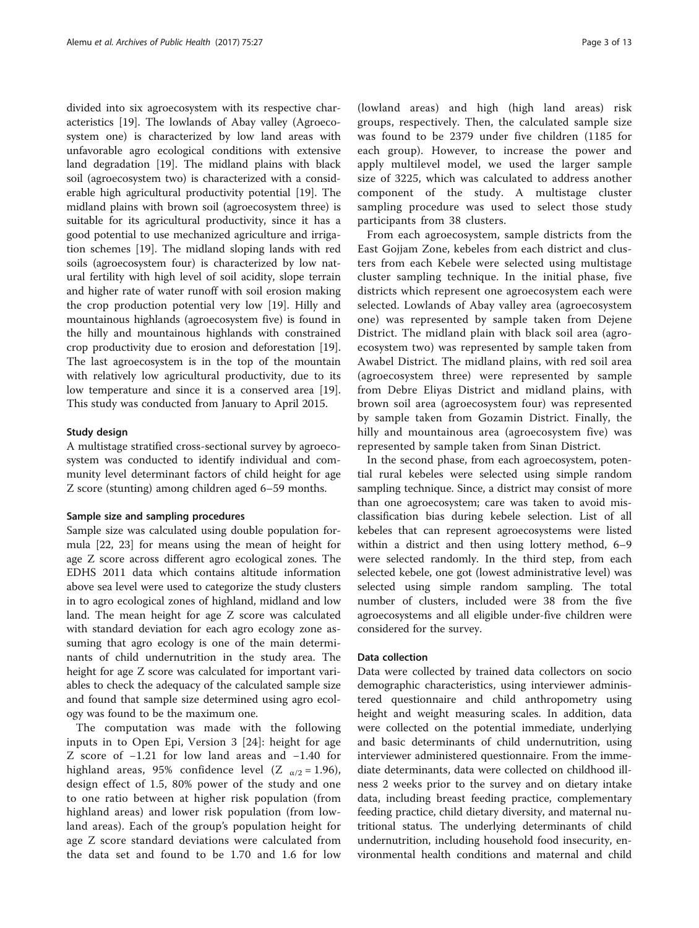divided into six agroecosystem with its respective characteristics [\[19](#page-11-0)]. The lowlands of Abay valley (Agroecosystem one) is characterized by low land areas with unfavorable agro ecological conditions with extensive land degradation [\[19](#page-11-0)]. The midland plains with black soil (agroecosystem two) is characterized with a considerable high agricultural productivity potential [\[19\]](#page-11-0). The midland plains with brown soil (agroecosystem three) is suitable for its agricultural productivity, since it has a good potential to use mechanized agriculture and irrigation schemes [[19\]](#page-11-0). The midland sloping lands with red soils (agroecosystem four) is characterized by low natural fertility with high level of soil acidity, slope terrain and higher rate of water runoff with soil erosion making the crop production potential very low [[19](#page-11-0)]. Hilly and mountainous highlands (agroecosystem five) is found in the hilly and mountainous highlands with constrained crop productivity due to erosion and deforestation [\[19](#page-11-0)]. The last agroecosystem is in the top of the mountain with relatively low agricultural productivity, due to its low temperature and since it is a conserved area [\[19](#page-11-0)]. This study was conducted from January to April 2015.

## Study design

A multistage stratified cross-sectional survey by agroecosystem was conducted to identify individual and community level determinant factors of child height for age Z score (stunting) among children aged 6–59 months.

## Sample size and sampling procedures

Sample size was calculated using double population formula [[22, 23](#page-11-0)] for means using the mean of height for age Z score across different agro ecological zones. The EDHS 2011 data which contains altitude information above sea level were used to categorize the study clusters in to agro ecological zones of highland, midland and low land. The mean height for age Z score was calculated with standard deviation for each agro ecology zone assuming that agro ecology is one of the main determinants of child undernutrition in the study area. The height for age Z score was calculated for important variables to check the adequacy of the calculated sample size and found that sample size determined using agro ecology was found to be the maximum one.

The computation was made with the following inputs in to Open Epi, Version 3 [[24\]](#page-11-0): height for age Z score of −1.21 for low land areas and −1.40 for highland areas, 95% confidence level (Z  $_{\alpha/2}$  = 1.96), design effect of 1.5, 80% power of the study and one to one ratio between at higher risk population (from highland areas) and lower risk population (from lowland areas). Each of the group's population height for age Z score standard deviations were calculated from the data set and found to be 1.70 and 1.6 for low (lowland areas) and high (high land areas) risk groups, respectively. Then, the calculated sample size was found to be 2379 under five children (1185 for each group). However, to increase the power and apply multilevel model, we used the larger sample size of 3225, which was calculated to address another component of the study. A multistage cluster sampling procedure was used to select those study participants from 38 clusters.

From each agroecosystem, sample districts from the East Gojjam Zone, kebeles from each district and clusters from each Kebele were selected using multistage cluster sampling technique. In the initial phase, five districts which represent one agroecosystem each were selected. Lowlands of Abay valley area (agroecosystem one) was represented by sample taken from Dejene District. The midland plain with black soil area (agroecosystem two) was represented by sample taken from Awabel District. The midland plains, with red soil area (agroecosystem three) were represented by sample from Debre Eliyas District and midland plains, with brown soil area (agroecosystem four) was represented by sample taken from Gozamin District. Finally, the hilly and mountainous area (agroecosystem five) was represented by sample taken from Sinan District.

In the second phase, from each agroecosystem, potential rural kebeles were selected using simple random sampling technique. Since, a district may consist of more than one agroecosystem; care was taken to avoid misclassification bias during kebele selection. List of all kebeles that can represent agroecosystems were listed within a district and then using lottery method, 6–9 were selected randomly. In the third step, from each selected kebele, one got (lowest administrative level) was selected using simple random sampling. The total number of clusters, included were 38 from the five agroecosystems and all eligible under-five children were considered for the survey.

## Data collection

Data were collected by trained data collectors on socio demographic characteristics, using interviewer administered questionnaire and child anthropometry using height and weight measuring scales. In addition, data were collected on the potential immediate, underlying and basic determinants of child undernutrition, using interviewer administered questionnaire. From the immediate determinants, data were collected on childhood illness 2 weeks prior to the survey and on dietary intake data, including breast feeding practice, complementary feeding practice, child dietary diversity, and maternal nutritional status. The underlying determinants of child undernutrition, including household food insecurity, environmental health conditions and maternal and child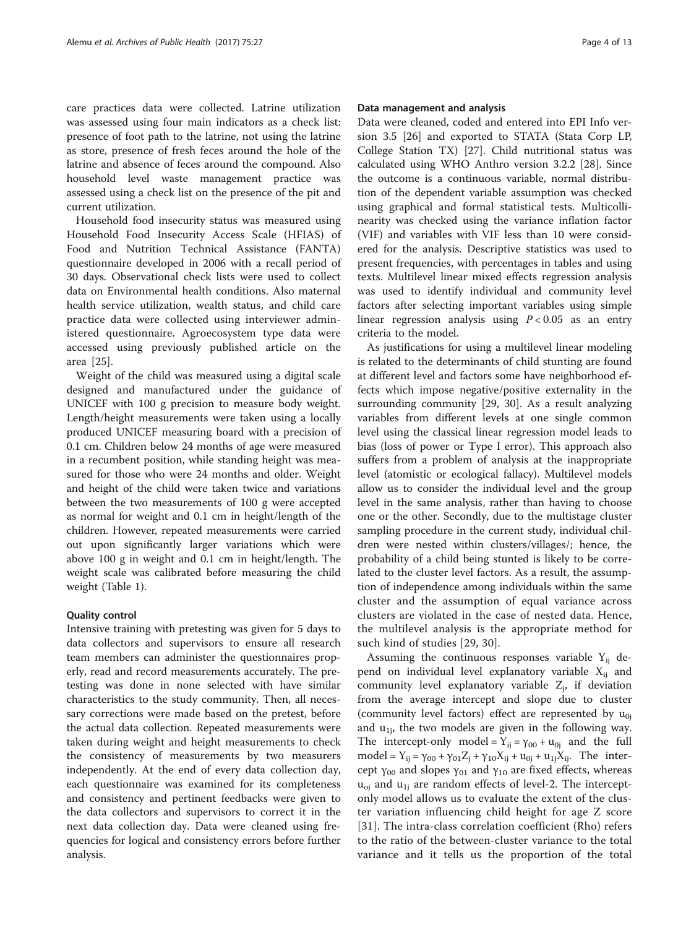care practices data were collected. Latrine utilization was assessed using four main indicators as a check list: presence of foot path to the latrine, not using the latrine as store, presence of fresh feces around the hole of the latrine and absence of feces around the compound. Also household level waste management practice was assessed using a check list on the presence of the pit and current utilization.

Household food insecurity status was measured using Household Food Insecurity Access Scale (HFIAS) of Food and Nutrition Technical Assistance (FANTA) questionnaire developed in 2006 with a recall period of 30 days. Observational check lists were used to collect data on Environmental health conditions. Also maternal health service utilization, wealth status, and child care practice data were collected using interviewer administered questionnaire. Agroecosystem type data were accessed using previously published article on the area [[25](#page-11-0)].

Weight of the child was measured using a digital scale designed and manufactured under the guidance of UNICEF with 100 g precision to measure body weight. Length/height measurements were taken using a locally produced UNICEF measuring board with a precision of 0.1 cm. Children below 24 months of age were measured in a recumbent position, while standing height was measured for those who were 24 months and older. Weight and height of the child were taken twice and variations between the two measurements of 100 g were accepted as normal for weight and 0.1 cm in height/length of the children. However, repeated measurements were carried out upon significantly larger variations which were above 100 g in weight and 0.1 cm in height/length. The weight scale was calibrated before measuring the child weight (Table [1\)](#page-4-0).

## Quality control

Intensive training with pretesting was given for 5 days to data collectors and supervisors to ensure all research team members can administer the questionnaires properly, read and record measurements accurately. The pretesting was done in none selected with have similar characteristics to the study community. Then, all necessary corrections were made based on the pretest, before the actual data collection. Repeated measurements were taken during weight and height measurements to check the consistency of measurements by two measurers independently. At the end of every data collection day, each questionnaire was examined for its completeness and consistency and pertinent feedbacks were given to the data collectors and supervisors to correct it in the next data collection day. Data were cleaned using frequencies for logical and consistency errors before further analysis.

## Data management and analysis

Data were cleaned, coded and entered into EPI Info version 3.5 [\[26](#page-11-0)] and exported to STATA (Stata Corp LP, College Station TX) [[27\]](#page-11-0). Child nutritional status was calculated using WHO Anthro version 3.2.2 [[28\]](#page-11-0). Since the outcome is a continuous variable, normal distribution of the dependent variable assumption was checked using graphical and formal statistical tests. Multicollinearity was checked using the variance inflation factor (VIF) and variables with VIF less than 10 were considered for the analysis. Descriptive statistics was used to present frequencies, with percentages in tables and using texts. Multilevel linear mixed effects regression analysis was used to identify individual and community level factors after selecting important variables using simple linear regression analysis using  $P < 0.05$  as an entry criteria to the model.

As justifications for using a multilevel linear modeling is related to the determinants of child stunting are found at different level and factors some have neighborhood effects which impose negative/positive externality in the surrounding community [[29](#page-11-0), [30\]](#page-11-0). As a result analyzing variables from different levels at one single common level using the classical linear regression model leads to bias (loss of power or Type I error). This approach also suffers from a problem of analysis at the inappropriate level (atomistic or ecological fallacy). Multilevel models allow us to consider the individual level and the group level in the same analysis, rather than having to choose one or the other. Secondly, due to the multistage cluster sampling procedure in the current study, individual children were nested within clusters/villages/; hence, the probability of a child being stunted is likely to be correlated to the cluster level factors. As a result, the assumption of independence among individuals within the same cluster and the assumption of equal variance across clusters are violated in the case of nested data. Hence, the multilevel analysis is the appropriate method for such kind of studies [\[29, 30\]](#page-11-0).

Assuming the continuous responses variable  $Y_{ij}$  depend on individual level explanatory variable  $X_{ij}$  and community level explanatory variable  $Z_i$ , if deviation from the average intercept and slope due to cluster (community level factors) effect are represented by  $u_{0i}$ and  $u_{1j}$ , the two models are given in the following way. The intercept-only model =  $Y_{ij} = \gamma_{00} + u_{0j}$  and the full model =  $Y_{ij} = \gamma_{00} + \gamma_{01}Z_j + \gamma_{10}X_{ij} + u_{0j} + u_{1j}X_{ij}$ . The intercept  $\gamma_{00}$  and slopes  $\gamma_{01}$  and  $\gamma_{10}$  are fixed effects, whereas  $u_{oi}$  and  $u_{1i}$  are random effects of level-2. The interceptonly model allows us to evaluate the extent of the cluster variation influencing child height for age Z score [[31](#page-11-0)]. The intra-class correlation coefficient (Rho) refers to the ratio of the between-cluster variance to the total variance and it tells us the proportion of the total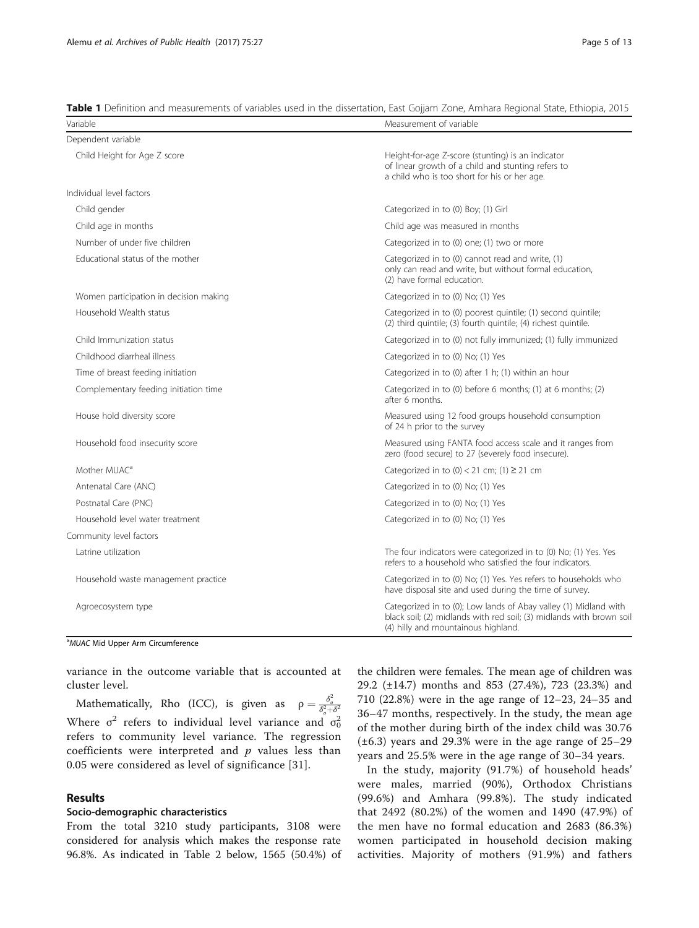| Variable                               | Measurement of variable                                                                                                                                                         |
|----------------------------------------|---------------------------------------------------------------------------------------------------------------------------------------------------------------------------------|
| Dependent variable                     |                                                                                                                                                                                 |
| Child Height for Age Z score           | Height-for-age Z-score (stunting) is an indicator<br>of linear growth of a child and stunting refers to<br>a child who is too short for his or her age.                         |
| Individual level factors               |                                                                                                                                                                                 |
| Child gender                           | Categorized in to (0) Boy; (1) Girl                                                                                                                                             |
| Child age in months                    | Child age was measured in months                                                                                                                                                |
| Number of under five children          | Categorized in to (0) one; (1) two or more                                                                                                                                      |
| Educational status of the mother       | Categorized in to (0) cannot read and write, (1)<br>only can read and write, but without formal education,<br>(2) have formal education.                                        |
| Women participation in decision making | Categorized in to (0) No; (1) Yes                                                                                                                                               |
| Household Wealth status                | Categorized in to (0) poorest quintile; (1) second quintile;<br>(2) third quintile; (3) fourth quintile; (4) richest quintile.                                                  |
| Child Immunization status              | Categorized in to (0) not fully immunized; (1) fully immunized                                                                                                                  |
| Childhood diarrheal illness            | Categorized in to (0) No; (1) Yes                                                                                                                                               |
| Time of breast feeding initiation      | Categorized in to (0) after 1 h; (1) within an hour                                                                                                                             |
| Complementary feeding initiation time  | Categorized in to (0) before 6 months; (1) at 6 months; (2)<br>after 6 months.                                                                                                  |
| House hold diversity score             | Measured using 12 food groups household consumption<br>of 24 h prior to the survey                                                                                              |
| Household food insecurity score        | Measured using FANTA food access scale and it ranges from<br>zero (food secure) to 27 (severely food insecure).                                                                 |
| Mother MUAC <sup>a</sup>               | Categorized in to $(0)$ < 21 cm; $(1)$ $\geq$ 21 cm                                                                                                                             |
| Antenatal Care (ANC)                   | Categorized in to (0) No; (1) Yes                                                                                                                                               |
| Postnatal Care (PNC)                   | Categorized in to (0) No; (1) Yes                                                                                                                                               |
| Household level water treatment        | Categorized in to (0) No; (1) Yes                                                                                                                                               |
| Community level factors                |                                                                                                                                                                                 |
| Latrine utilization                    | The four indicators were categorized in to (0) No; (1) Yes. Yes<br>refers to a household who satisfied the four indicators.                                                     |
| Household waste management practice    | Categorized in to (0) No; (1) Yes. Yes refers to households who<br>have disposal site and used during the time of survey.                                                       |
| Agroecosystem type                     | Categorized in to (0); Low lands of Abay valley (1) Midland with<br>black soil; (2) midlands with red soil; (3) midlands with brown soil<br>(4) hilly and mountainous highland. |

<span id="page-4-0"></span>Table 1 Definition and measurements of variables used in the dissertation, East Gojjam Zone, Amhara Regional State, Ethiopia, 2015

<sup>a</sup>MUAC Mid Upper Arm Circumference

variance in the outcome variable that is accounted at cluster level.

Mathematically, Rho (ICC), is given as  $\rho = \frac{\delta_o^2}{\delta_o^2 + \delta_s^2}$ Where  $\sigma^2$  refers to individual level variance and  $\sigma_0^2$ refers to community level variance. The regression coefficients were interpreted and  $p$  values less than 0.05 were considered as level of significance [[31](#page-11-0)].

## Results

## Socio-demographic characteristics

From the total 3210 study participants, 3108 were considered for analysis which makes the response rate 96.8%. As indicated in Table [2](#page-5-0) below, 1565 (50.4%) of the children were females. The mean age of children was 29.2 (±14.7) months and 853 (27.4%), 723 (23.3%) and 710 (22.8%) were in the age range of 12–23, 24–35 and 36–47 months, respectively. In the study, the mean age of the mother during birth of the index child was 30.76  $(\pm 6.3)$  years and 29.3% were in the age range of 25–29 years and 25.5% were in the age range of 30–34 years.

In the study, majority (91.7%) of household heads' were males, married (90%), Orthodox Christians (99.6%) and Amhara (99.8%). The study indicated that 2492 (80.2%) of the women and 1490 (47.9%) of the men have no formal education and 2683 (86.3%) women participated in household decision making activities. Majority of mothers (91.9%) and fathers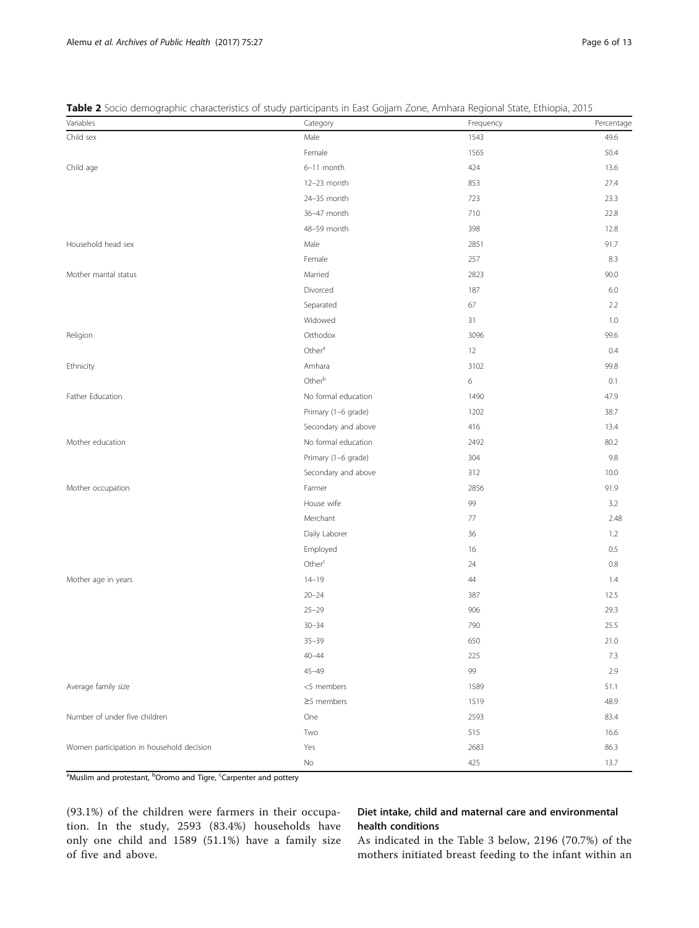| Variables                                 | the main are made and come<br>$  \mu$<br>Category | .<br>$-$ , $-$ , $ -$ , $-$<br>Frequency | Percentage |
|-------------------------------------------|---------------------------------------------------|------------------------------------------|------------|
| Child sex                                 | Male                                              | 1543                                     | 49.6       |
|                                           | Female                                            | 1565                                     | 50.4       |
| Child age                                 | 6-11 month                                        | 424                                      | 13.6       |
|                                           | 12-23 month                                       | 853                                      | 27.4       |
|                                           | 24-35 month                                       | 723                                      | 23.3       |
|                                           | 36-47 month                                       | 710                                      | 22.8       |
|                                           | 48-59 month                                       | 398                                      | 12.8       |
| Household head sex                        | Male                                              | 2851                                     | 91.7       |
|                                           | Female                                            | 257                                      | 8.3        |
| Mother marital status                     | Married                                           | 2823                                     | 90.0       |
|                                           | Divorced                                          | 187                                      | 6.0        |
|                                           | Separated                                         | 67                                       | 2.2        |
|                                           | Widowed                                           | 31                                       | 1.0        |
| Religion                                  | Orthodox                                          | 3096                                     | 99.6       |
|                                           | Other <sup>a</sup>                                | 12                                       | 0.4        |
| Ethnicity                                 | Amhara                                            | 3102                                     | 99.8       |
|                                           | Otherb                                            | 6                                        | 0.1        |
| Father Education                          | No formal education                               | 1490                                     | 47.9       |
|                                           | Primary (1-6 grade)                               | 1202                                     | 38.7       |
|                                           | Secondary and above                               | 416                                      | 13.4       |
| Mother education                          | No formal education                               | 2492                                     | 80.2       |
|                                           | Primary (1-6 grade)                               | 304                                      | 9.8        |
|                                           | Secondary and above                               | 312                                      | 10.0       |
| Mother occupation                         | Farmer                                            | 2856                                     | 91.9       |
|                                           | House wife                                        | 99                                       | 3.2        |
|                                           | Merchant                                          | 77                                       | 2.48       |
|                                           | Daily Laborer                                     | 36                                       | 1.2        |
|                                           | Employed                                          | 16                                       | 0.5        |
|                                           | Other <sup>c</sup>                                | 24                                       | 0.8        |
| Mother age in years                       | $14 - 19$                                         | 44                                       | 1.4        |
|                                           | $20 - 24$                                         | 387                                      | 12.5       |
|                                           | $25 - 29$                                         | 906                                      | 29.3       |
|                                           | $30 - 34$                                         | 790                                      | 25.5       |
|                                           | $35 - 39$                                         | 650                                      | 21.0       |
|                                           | $40 - 44$                                         | 225                                      | 7.3        |
|                                           | $45 - 49$                                         | 99                                       | 2.9        |
| Average family size                       | <5 members                                        | 1589                                     | 51.1       |
|                                           | $\geq$ 5 members                                  | 1519                                     | 48.9       |
| Number of under five children             | One                                               | 2593                                     | 83.4       |
|                                           | Two                                               | 515                                      | 16.6       |
| Women participation in household decision | Yes                                               | 2683                                     | 86.3       |
|                                           | No                                                | 425                                      | 13.7       |

<span id="page-5-0"></span>Table 2 Socio demographic characteristics of study participants in East Gojjam Zone, Amhara Regional State, Ethiopia, 2015

<sup>a</sup>Muslim and protestant, <sup>b</sup>Oromo and Tigre, <sup>c</sup>Carpenter and pottery

(93.1%) of the children were farmers in their occupation. In the study, 2593 (83.4%) households have only one child and 1589 (51.1%) have a family size of five and above.

## Diet intake, child and maternal care and environmental health conditions

As indicated in the Table [3](#page-6-0) below, 2196 (70.7%) of the mothers initiated breast feeding to the infant within an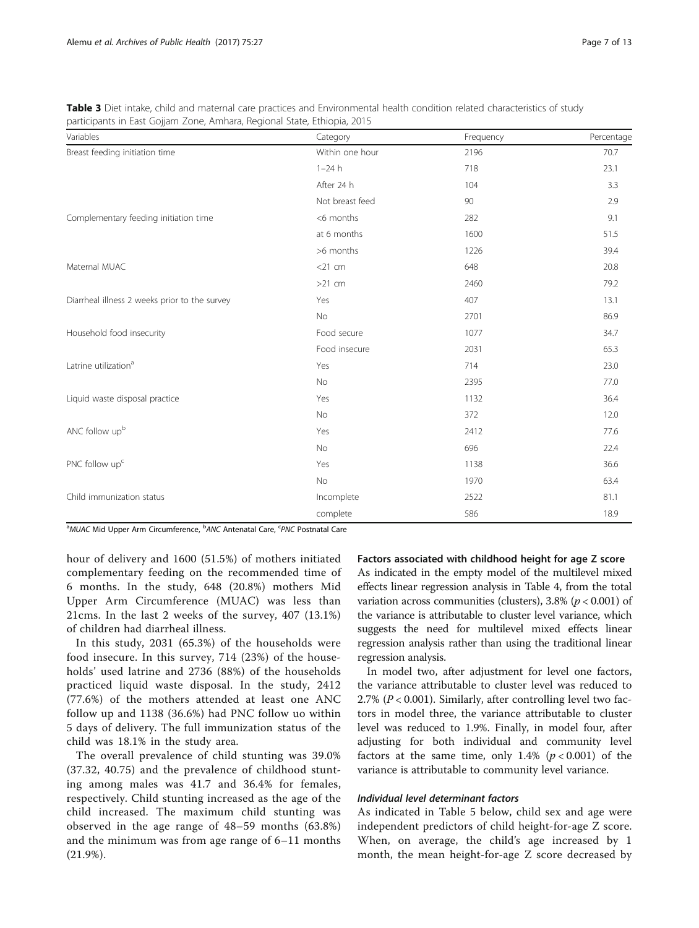<span id="page-6-0"></span>

| Table 3 Diet intake, child and maternal care practices and Environmental health condition related characteristics of study |  |  |
|----------------------------------------------------------------------------------------------------------------------------|--|--|
| participants in East Gojjam Zone, Amhara, Regional State, Ethiopia, 2015                                                   |  |  |

| Variables                                     | Category        | Frequency | Percentage |
|-----------------------------------------------|-----------------|-----------|------------|
| Breast feeding initiation time                | Within one hour | 2196      | 70.7       |
|                                               | $1 - 24 h$      | 718       | 23.1       |
|                                               | After 24 h      | 104       | 3.3        |
|                                               | Not breast feed | 90        | 2.9        |
| Complementary feeding initiation time         | <6 months       | 282       | 9.1        |
|                                               | at 6 months     | 1600      | 51.5       |
|                                               | >6 months       | 1226      | 39.4       |
| Maternal MUAC                                 | $<$ 21 cm       | 648       | 20.8       |
|                                               | $>21$ cm        | 2460      | 79.2       |
| Diarrheal illness 2 weeks prior to the survey | Yes             | 407       | 13.1       |
|                                               | No              | 2701      | 86.9       |
| Household food insecurity                     | Food secure     | 1077      | 34.7       |
|                                               | Food insecure   | 2031      | 65.3       |
| Latrine utilization <sup>a</sup>              | Yes             | 714       | 23.0       |
|                                               | <b>No</b>       | 2395      | 77.0       |
| Liquid waste disposal practice                | Yes             | 1132      | 36.4       |
|                                               | No              | 372       | 12.0       |
| ANC follow upb                                | Yes             | 2412      | 77.6       |
|                                               | No              | 696       | 22.4       |
| PNC follow up <sup>c</sup>                    | Yes             | 1138      | 36.6       |
|                                               | No              | 1970      | 63.4       |
| Child immunization status                     | Incomplete      | 2522      | 81.1       |
|                                               | complete        | 586       | 18.9       |

<sup>a</sup>MUAC Mid Upper Arm Circumference, <sup>b</sup>ANC Antenatal Care, <sup>c</sup>PNC Postnatal Care

hour of delivery and 1600 (51.5%) of mothers initiated complementary feeding on the recommended time of 6 months. In the study, 648 (20.8%) mothers Mid Upper Arm Circumference (MUAC) was less than 21cms. In the last 2 weeks of the survey, 407 (13.1%) of children had diarrheal illness.

In this study, 2031 (65.3%) of the households were food insecure. In this survey, 714 (23%) of the households' used latrine and 2736 (88%) of the households practiced liquid waste disposal. In the study, 2412 (77.6%) of the mothers attended at least one ANC follow up and 1138 (36.6%) had PNC follow uo within 5 days of delivery. The full immunization status of the child was 18.1% in the study area.

The overall prevalence of child stunting was 39.0% (37.32, 40.75) and the prevalence of childhood stunting among males was 41.7 and 36.4% for females, respectively. Child stunting increased as the age of the child increased. The maximum child stunting was observed in the age range of 48–59 months (63.8%) and the minimum was from age range of 6–11 months (21.9%).

Factors associated with childhood height for age Z score As indicated in the empty model of the multilevel mixed effects linear regression analysis in Table [4,](#page-7-0) from the total variation across communities (clusters),  $3.8\%$  ( $p < 0.001$ ) of the variance is attributable to cluster level variance, which suggests the need for multilevel mixed effects linear regression analysis rather than using the traditional linear regression analysis.

In model two, after adjustment for level one factors, the variance attributable to cluster level was reduced to 2.7%  $(P < 0.001)$ . Similarly, after controlling level two factors in model three, the variance attributable to cluster level was reduced to 1.9%. Finally, in model four, after adjusting for both individual and community level factors at the same time, only 1.4% ( $p < 0.001$ ) of the variance is attributable to community level variance.

## Individual level determinant factors

As indicated in Table [5](#page-8-0) below, child sex and age were independent predictors of child height-for-age Z score. When, on average, the child's age increased by 1 month, the mean height-for-age Z score decreased by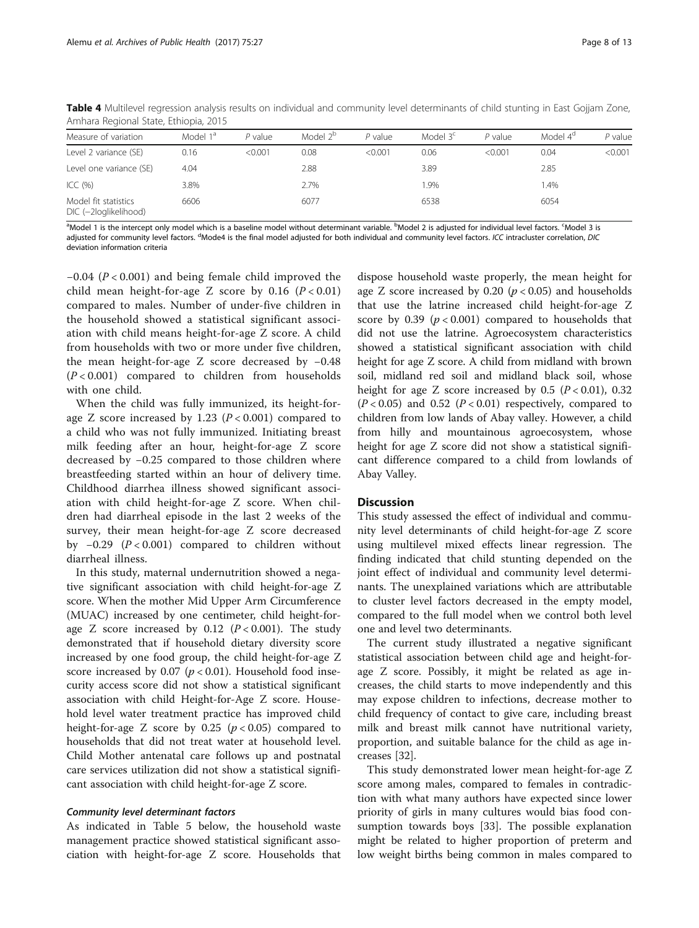| Measure of variation                          | Model 1 <sup>a</sup> | $P$ value | Model 2 <sup>b</sup> | $P$ value | Model 3 <sup>c</sup> | $P$ value | Model 4 <sup>d</sup> | $P$ value |
|-----------------------------------------------|----------------------|-----------|----------------------|-----------|----------------------|-----------|----------------------|-----------|
| Level 2 variance (SE)                         | 0.16                 | < 0.001   | 0.08                 | < 0.001   | 0.06                 | < 0.001   | 0.04                 | < 0.001   |
| Level one variance (SE)                       | 4.04                 |           |                      |           | 3.89                 |           | 2.85                 |           |
| ICC $(% )$                                    | 3.8%                 |           | 2.7%                 |           | l.9%                 |           | 1.4%                 |           |
| Model fit statistics<br>DIC (-2loglikelihood) | 6606                 |           | 6077                 |           | 6538                 |           | 6054                 |           |

<span id="page-7-0"></span>Table 4 Multilevel regression analysis results on individual and community level determinants of child stunting in East Gojjam Zone, Amhara Regional State, Ethiopia, 2015

<sup>a</sup>Model 1 is the intercept only model which is a baseline model without determinant variable. <sup>b</sup>Model 2 is adjusted for individual level factors. <sup>c</sup>Model 3 is adjusted for community level factors. <sup>d</sup>Mode4 is the final model adjusted for both individual and community level factors. ICC intracluster correlation, DIC deviation information criteria

−0.04 (P < 0.001) and being female child improved the child mean height-for-age Z score by 0.16  $(P < 0.01)$ compared to males. Number of under-five children in the household showed a statistical significant association with child means height-for-age Z score. A child from households with two or more under five children, the mean height-for-age Z score decreased by −0.48  $(P < 0.001)$  compared to children from households with one child.

When the child was fully immunized, its height-forage Z score increased by 1.23  $(P < 0.001)$  compared to a child who was not fully immunized. Initiating breast milk feeding after an hour, height-for-age Z score decreased by −0.25 compared to those children where breastfeeding started within an hour of delivery time. Childhood diarrhea illness showed significant association with child height-for-age Z score. When children had diarrheal episode in the last 2 weeks of the survey, their mean height-for-age Z score decreased by  $-0.29$  ( $P < 0.001$ ) compared to children without diarrheal illness.

In this study, maternal undernutrition showed a negative significant association with child height-for-age Z score. When the mother Mid Upper Arm Circumference (MUAC) increased by one centimeter, child height-forage Z score increased by 0.12  $(P < 0.001)$ . The study demonstrated that if household dietary diversity score increased by one food group, the child height-for-age Z score increased by 0.07 ( $p < 0.01$ ). Household food insecurity access score did not show a statistical significant association with child Height-for-Age Z score. Household level water treatment practice has improved child height-for-age Z score by 0.25 ( $p < 0.05$ ) compared to households that did not treat water at household level. Child Mother antenatal care follows up and postnatal care services utilization did not show a statistical significant association with child height-for-age Z score.

## Community level determinant factors

As indicated in Table [5](#page-8-0) below, the household waste management practice showed statistical significant association with height-for-age Z score. Households that

dispose household waste properly, the mean height for age Z score increased by 0.20  $(p < 0.05)$  and households that use the latrine increased child height-for-age Z score by 0.39  $(p < 0.001)$  compared to households that did not use the latrine. Agroecosystem characteristics showed a statistical significant association with child height for age Z score. A child from midland with brown soil, midland red soil and midland black soil, whose height for age Z score increased by  $0.5$   $(P < 0.01)$ ,  $0.32$  $(P < 0.05)$  and 0.52  $(P < 0.01)$  respectively, compared to children from low lands of Abay valley. However, a child from hilly and mountainous agroecosystem, whose height for age Z score did not show a statistical significant difference compared to a child from lowlands of Abay Valley.

## Discussion

This study assessed the effect of individual and community level determinants of child height-for-age Z score using multilevel mixed effects linear regression. The finding indicated that child stunting depended on the joint effect of individual and community level determinants. The unexplained variations which are attributable to cluster level factors decreased in the empty model, compared to the full model when we control both level one and level two determinants.

The current study illustrated a negative significant statistical association between child age and height-forage Z score. Possibly, it might be related as age increases, the child starts to move independently and this may expose children to infections, decrease mother to child frequency of contact to give care, including breast milk and breast milk cannot have nutritional variety, proportion, and suitable balance for the child as age increases [[32\]](#page-11-0).

This study demonstrated lower mean height-for-age Z score among males, compared to females in contradiction with what many authors have expected since lower priority of girls in many cultures would bias food consumption towards boys [\[33](#page-11-0)]. The possible explanation might be related to higher proportion of preterm and low weight births being common in males compared to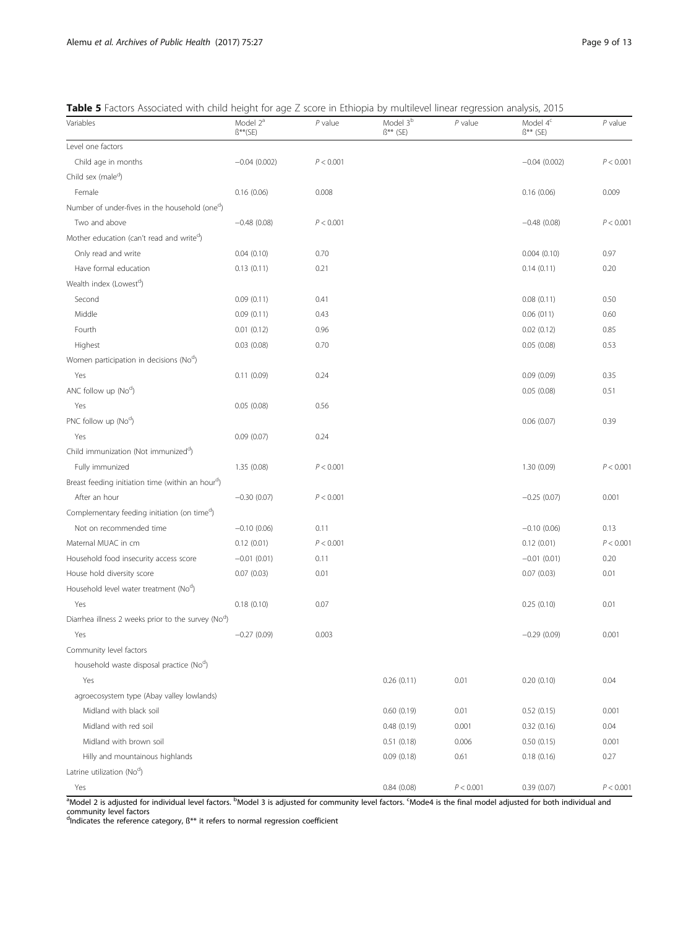| Variables                                                       | Model 2 <sup>a</sup><br>$\beta^{**}$ (SE) | $P$ value | Model 3 <sup>b</sup><br>$\beta^{**}$ (SE) | $P$ value | Model 4 <sup>c</sup><br>$\beta^{**}$ (SE) | $P$ value |
|-----------------------------------------------------------------|-------------------------------------------|-----------|-------------------------------------------|-----------|-------------------------------------------|-----------|
| Level one factors                                               |                                           |           |                                           |           |                                           |           |
| Child age in months                                             | $-0.04(0.002)$                            | P < 0.001 |                                           |           | $-0.04(0.002)$                            | P < 0.001 |
| Child sex (male <sup>d</sup> )                                  |                                           |           |                                           |           |                                           |           |
| Female                                                          | 0.16(0.06)                                | 0.008     |                                           |           | 0.16(0.06)                                | 0.009     |
| Number of under-fives in the household (one <sup>d</sup> )      |                                           |           |                                           |           |                                           |           |
| Two and above                                                   | $-0.48(0.08)$                             | P < 0.001 |                                           |           | $-0.48(0.08)$                             | P < 0.001 |
| Mother education (can't read and write <sup>d</sup> )           |                                           |           |                                           |           |                                           |           |
| Only read and write                                             | 0.04(0.10)                                | 0.70      |                                           |           | 0.004(0.10)                               | 0.97      |
| Have formal education                                           | 0.13(0.11)                                | 0.21      |                                           |           | 0.14(0.11)                                | 0.20      |
| Wealth index (Lowest <sup>d</sup> )                             |                                           |           |                                           |           |                                           |           |
| Second                                                          | 0.09(0.11)                                | 0.41      |                                           |           | 0.08(0.11)                                | 0.50      |
| Middle                                                          | 0.09(0.11)                                | 0.43      |                                           |           | 0.06(011)                                 | 0.60      |
| Fourth                                                          | 0.01(0.12)                                | 0.96      |                                           |           | 0.02(0.12)                                | 0.85      |
| Highest                                                         | 0.03(0.08)                                | 0.70      |                                           |           | 0.05(0.08)                                | 0.53      |
| Women participation in decisions (No <sup>d</sup> )             |                                           |           |                                           |           |                                           |           |
| Yes                                                             | 0.11(0.09)                                | 0.24      |                                           |           | 0.09(0.09)                                | 0.35      |
| ANC follow up (No <sup>d</sup> )                                |                                           |           |                                           |           | 0.05(0.08)                                | 0.51      |
| Yes                                                             | 0.05(0.08)                                | 0.56      |                                           |           |                                           |           |
| PNC follow up (No <sup>d</sup> )                                |                                           |           |                                           |           | 0.06(0.07)                                | 0.39      |
| Yes                                                             | 0.09(0.07)                                | 0.24      |                                           |           |                                           |           |
| Child immunization (Not immunized <sup>d</sup> )                |                                           |           |                                           |           |                                           |           |
| Fully immunized                                                 | 1.35 (0.08)                               | P < 0.001 |                                           |           | 1.30(0.09)                                | P < 0.001 |
| Breast feeding initiation time (within an hour <sup>d</sup> )   |                                           |           |                                           |           |                                           |           |
| After an hour                                                   | $-0.30(0.07)$                             | P < 0.001 |                                           |           | $-0.25(0.07)$                             | 0.001     |
| Complementary feeding initiation (on time <sup>d</sup> )        |                                           |           |                                           |           |                                           |           |
| Not on recommended time                                         | $-0.10(0.06)$                             | 0.11      |                                           |           | $-0.10(0.06)$                             | 0.13      |
| Maternal MUAC in cm                                             | 0.12(0.01)                                | P < 0.001 |                                           |           | 0.12(0.01)                                | P < 0.001 |
| Household food insecurity access score                          | $-0.01(0.01)$                             | 0.11      |                                           |           | $-0.01(0.01)$                             | 0.20      |
| House hold diversity score                                      | 0.07(0.03)                                | 0.01      |                                           |           | 0.07(0.03)                                | 0.01      |
| Household level water treatment (No <sup>d</sup> )              |                                           |           |                                           |           |                                           |           |
| Yes                                                             | 0.18(0.10)                                | 0.07      |                                           |           | 0.25(0.10)                                | 0.01      |
| Diarrhea illness 2 weeks prior to the survey (No <sup>d</sup> ) |                                           |           |                                           |           |                                           |           |
| Yes                                                             | $-0.27(0.09)$                             | 0.003     |                                           |           | $-0.29(0.09)$                             | 0.001     |
| Community level factors                                         |                                           |           |                                           |           |                                           |           |
| household waste disposal practice (No <sup>d</sup> )            |                                           |           |                                           |           |                                           |           |
| Yes                                                             |                                           |           | 0.26(0.11)                                | 0.01      | 0.20(0.10)                                | 0.04      |
| agroecosystem type (Abay valley lowlands)                       |                                           |           |                                           |           |                                           |           |
| Midland with black soil                                         |                                           |           | 0.60(0.19)                                | 0.01      | 0.52(0.15)                                | 0.001     |
| Midland with red soil                                           |                                           |           | 0.48(0.19)                                | 0.001     | 0.32(0.16)                                | 0.04      |
| Midland with brown soil                                         |                                           |           | 0.51(0.18)                                | 0.006     | 0.50(0.15)                                | 0.001     |
| Hilly and mountainous highlands                                 |                                           |           | 0.09(0.18)                                | 0.61      | 0.18(0.16)                                | 0.27      |
| Latrine utilization (No <sup>d</sup> )                          |                                           |           |                                           |           |                                           |           |
| Yes                                                             |                                           |           | 0.84(0.08)                                | P < 0.001 | 0.39(0.07)                                | P < 0.001 |

<span id="page-8-0"></span>Table 5 Factors Associated with child height for age Z score in Ethiopia by multilevel linear regression analysis, 2015

<sup>a</sup>Model 2 is adjusted for individual level factors. <sup>b</sup>Model 3 is adjusted for community level factors. <sup>c</sup>Mode4 is the final model adjusted for both individual and

community level factors<br><sup>d</sup>Indicates the reference category, ß\*\* it refers to normal regression coefficient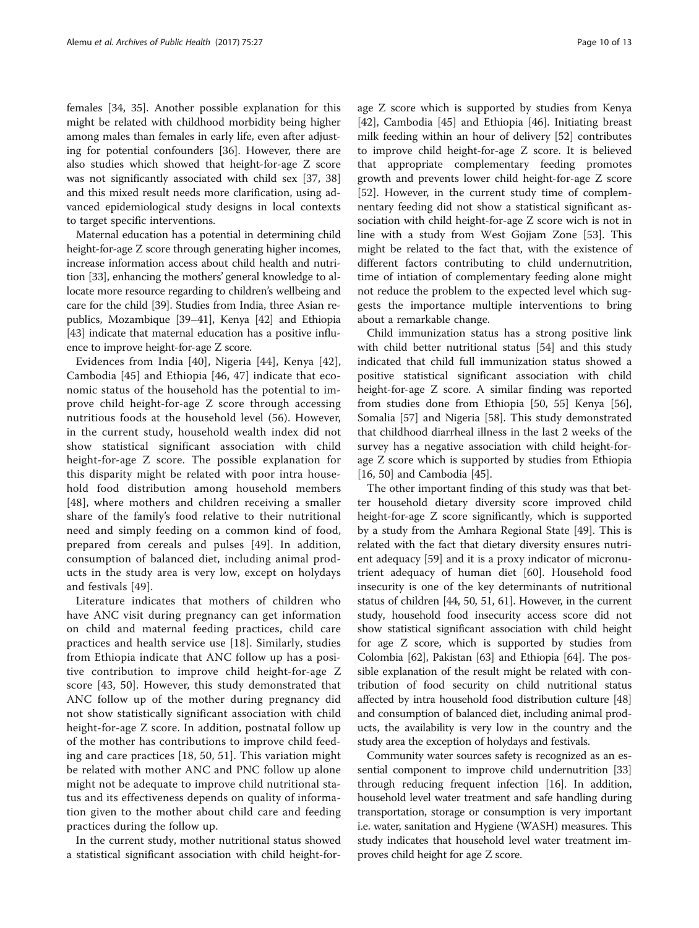females [\[34, 35](#page-11-0)]. Another possible explanation for this might be related with childhood morbidity being higher among males than females in early life, even after adjusting for potential confounders [[36\]](#page-11-0). However, there are also studies which showed that height-for-age Z score was not significantly associated with child sex [\[37, 38](#page-11-0)] and this mixed result needs more clarification, using advanced epidemiological study designs in local contexts to target specific interventions.

Maternal education has a potential in determining child height-for-age Z score through generating higher incomes, increase information access about child health and nutrition [\[33](#page-11-0)], enhancing the mothers' general knowledge to allocate more resource regarding to children's wellbeing and care for the child [\[39\]](#page-11-0). Studies from India, three Asian republics, Mozambique [[39](#page-11-0)–[41\]](#page-11-0), Kenya [\[42\]](#page-12-0) and Ethiopia [[43](#page-12-0)] indicate that maternal education has a positive influence to improve height-for-age Z score.

Evidences from India [[40\]](#page-11-0), Nigeria [[44\]](#page-12-0), Kenya [[42](#page-12-0)], Cambodia [[45](#page-12-0)] and Ethiopia [\[46](#page-12-0), [47](#page-12-0)] indicate that economic status of the household has the potential to improve child height-for-age Z score through accessing nutritious foods at the household level (56). However, in the current study, household wealth index did not show statistical significant association with child height-for-age Z score. The possible explanation for this disparity might be related with poor intra household food distribution among household members [[48](#page-12-0)], where mothers and children receiving a smaller share of the family's food relative to their nutritional need and simply feeding on a common kind of food, prepared from cereals and pulses [\[49](#page-12-0)]. In addition, consumption of balanced diet, including animal products in the study area is very low, except on holydays and festivals [[49\]](#page-12-0).

Literature indicates that mothers of children who have ANC visit during pregnancy can get information on child and maternal feeding practices, child care practices and health service use [\[18](#page-11-0)]. Similarly, studies from Ethiopia indicate that ANC follow up has a positive contribution to improve child height-for-age Z score [\[43](#page-12-0), [50\]](#page-12-0). However, this study demonstrated that ANC follow up of the mother during pregnancy did not show statistically significant association with child height-for-age Z score. In addition, postnatal follow up of the mother has contributions to improve child feeding and care practices [[18](#page-11-0), [50, 51\]](#page-12-0). This variation might be related with mother ANC and PNC follow up alone might not be adequate to improve child nutritional status and its effectiveness depends on quality of information given to the mother about child care and feeding practices during the follow up.

In the current study, mother nutritional status showed a statistical significant association with child height-forage Z score which is supported by studies from Kenya [[42\]](#page-12-0), Cambodia [\[45\]](#page-12-0) and Ethiopia [\[46](#page-12-0)]. Initiating breast milk feeding within an hour of delivery [[52\]](#page-12-0) contributes to improve child height-for-age Z score. It is believed that appropriate complementary feeding promotes growth and prevents lower child height-for-age Z score [[52\]](#page-12-0). However, in the current study time of complemnentary feeding did not show a statistical significant association with child height-for-age Z score wich is not in line with a study from West Gojjam Zone [\[53](#page-12-0)]. This might be related to the fact that, with the existence of different factors contributing to child undernutrition, time of intiation of complementary feeding alone might not reduce the problem to the expected level which suggests the importance multiple interventions to bring about a remarkable change.

Child immunization status has a strong positive link with child better nutritional status [[54\]](#page-12-0) and this study indicated that child full immunization status showed a positive statistical significant association with child height-for-age Z score. A similar finding was reported from studies done from Ethiopia [\[50, 55\]](#page-12-0) Kenya [\[56](#page-12-0)], Somalia [[57\]](#page-12-0) and Nigeria [\[58\]](#page-12-0). This study demonstrated that childhood diarrheal illness in the last 2 weeks of the survey has a negative association with child height-forage Z score which is supported by studies from Ethiopia [[16,](#page-11-0) [50\]](#page-12-0) and Cambodia [\[45](#page-12-0)].

The other important finding of this study was that better household dietary diversity score improved child height-for-age Z score significantly, which is supported by a study from the Amhara Regional State [\[49\]](#page-12-0). This is related with the fact that dietary diversity ensures nutrient adequacy [[59](#page-12-0)] and it is a proxy indicator of micronutrient adequacy of human diet [\[60\]](#page-12-0). Household food insecurity is one of the key determinants of nutritional status of children [\[44](#page-12-0), [50, 51](#page-12-0), [61](#page-12-0)]. However, in the current study, household food insecurity access score did not show statistical significant association with child height for age Z score, which is supported by studies from Colombia [\[62](#page-12-0)], Pakistan [[63](#page-12-0)] and Ethiopia [\[64\]](#page-12-0). The possible explanation of the result might be related with contribution of food security on child nutritional status affected by intra household food distribution culture [[48](#page-12-0)] and consumption of balanced diet, including animal products, the availability is very low in the country and the study area the exception of holydays and festivals.

Community water sources safety is recognized as an essential component to improve child undernutrition [[33](#page-11-0)] through reducing frequent infection [\[16\]](#page-11-0). In addition, household level water treatment and safe handling during transportation, storage or consumption is very important i.e. water, sanitation and Hygiene (WASH) measures. This study indicates that household level water treatment improves child height for age Z score.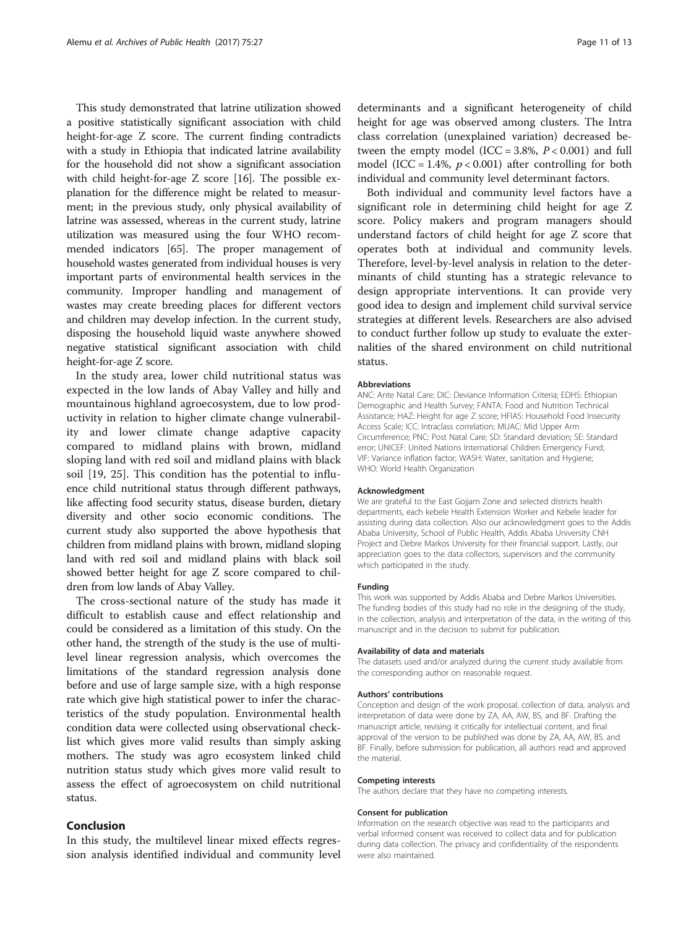This study demonstrated that latrine utilization showed a positive statistically significant association with child height-for-age Z score. The current finding contradicts with a study in Ethiopia that indicated latrine availability for the household did not show a significant association with child height-for-age Z score [\[16\]](#page-11-0). The possible explanation for the difference might be related to measurment; in the previous study, only physical availability of latrine was assessed, whereas in the current study, latrine utilization was measured using the four WHO recommended indicators [\[65](#page-12-0)]. The proper management of household wastes generated from individual houses is very important parts of environmental health services in the community. Improper handling and management of wastes may create breeding places for different vectors and children may develop infection. In the current study, disposing the household liquid waste anywhere showed negative statistical significant association with child height-for-age Z score.

In the study area, lower child nutritional status was expected in the low lands of Abay Valley and hilly and mountainous highland agroecosystem, due to low productivity in relation to higher climate change vulnerability and lower climate change adaptive capacity compared to midland plains with brown, midland sloping land with red soil and midland plains with black soil [\[19](#page-11-0), [25](#page-11-0)]. This condition has the potential to influence child nutritional status through different pathways, like affecting food security status, disease burden, dietary diversity and other socio economic conditions. The current study also supported the above hypothesis that children from midland plains with brown, midland sloping land with red soil and midland plains with black soil showed better height for age Z score compared to children from low lands of Abay Valley.

The cross-sectional nature of the study has made it difficult to establish cause and effect relationship and could be considered as a limitation of this study. On the other hand, the strength of the study is the use of multilevel linear regression analysis, which overcomes the limitations of the standard regression analysis done before and use of large sample size, with a high response rate which give high statistical power to infer the characteristics of the study population. Environmental health condition data were collected using observational checklist which gives more valid results than simply asking mothers. The study was agro ecosystem linked child nutrition status study which gives more valid result to assess the effect of agroecosystem on child nutritional status.

## Conclusion

In this study, the multilevel linear mixed effects regression analysis identified individual and community level

determinants and a significant heterogeneity of child height for age was observed among clusters. The Intra class correlation (unexplained variation) decreased between the empty model (ICC =  $3.8\%$ ,  $P < 0.001$ ) and full model (ICC = 1.4%,  $p < 0.001$ ) after controlling for both individual and community level determinant factors.

Both individual and community level factors have a significant role in determining child height for age Z score. Policy makers and program managers should understand factors of child height for age Z score that operates both at individual and community levels. Therefore, level-by-level analysis in relation to the determinants of child stunting has a strategic relevance to design appropriate interventions. It can provide very good idea to design and implement child survival service strategies at different levels. Researchers are also advised to conduct further follow up study to evaluate the externalities of the shared environment on child nutritional status.

## Abbreviations

ANC: Ante Natal Care; DIC: Deviance Information Criteria; EDHS: Ethiopian Demographic and Health Survey; FANTA: Food and Nutrition Technical Assistance; HAZ: Height for age Z score; HFIAS: Household Food Insecurity Access Scale; ICC: Intraclass correlation; MUAC: Mid Upper Arm Circumference; PNC: Post Natal Care; SD: Standard deviation; SE: Standard error; UNICEF: United Nations International Children Emergency Fund; VIF: Variance inflation factor; WASH: Water, sanitation and Hygiene; WHO: World Health Organization

#### Acknowledgment

We are grateful to the East Gojjam Zone and selected districts health departments, each kebele Health Extension Worker and Kebele leader for assisting during data collection. Also our acknowledgment goes to the Addis Ababa University, School of Public Health, Addis Ababa University CNH Project and Debre Markos University for their financial support. Lastly, our appreciation goes to the data collectors, supervisors and the community which participated in the study.

#### Funding

This work was supported by Addis Ababa and Debre Markos Universities. The funding bodies of this study had no role in the designing of the study, in the collection, analysis and interpretation of the data, in the writing of this manuscript and in the decision to submit for publication.

#### Availability of data and materials

The datasets used and/or analyzed during the current study available from the corresponding author on reasonable request.

#### Authors' contributions

Conception and design of the work proposal, collection of data, analysis and interpretation of data were done by ZA, AA, AW, BS, and BF. Drafting the manuscript article, revising it critically for intellectual content, and final approval of the version to be published was done by ZA, AA, AW, BS. and BF. Finally, before submission for publication, all authors read and approved the material.

#### Competing interests

The authors declare that they have no competing interests.

#### Consent for publication

Information on the research objective was read to the participants and verbal informed consent was received to collect data and for publication during data collection. The privacy and confidentiality of the respondents were also maintained.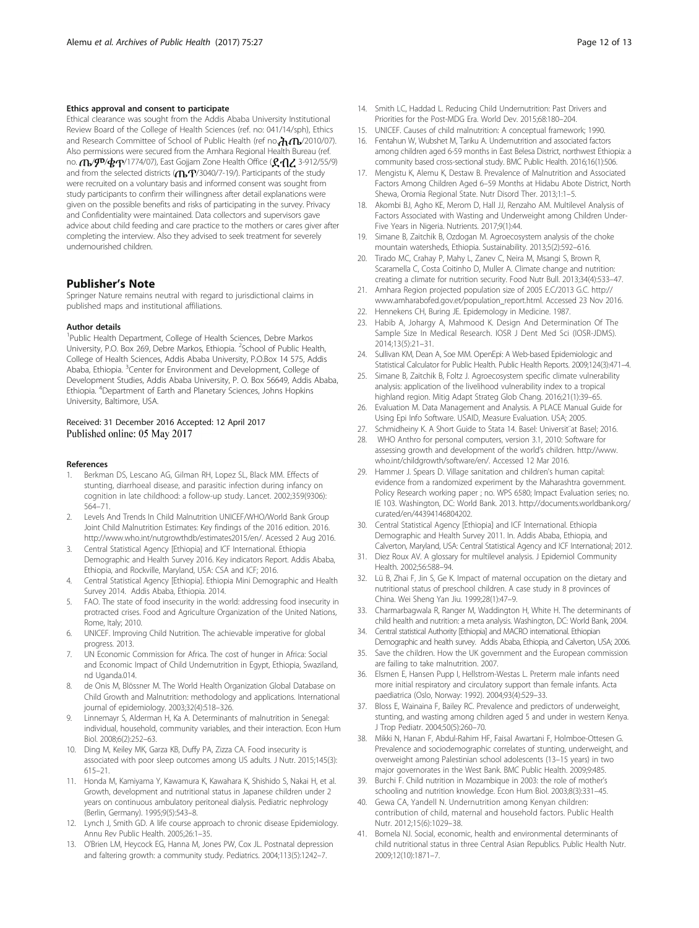## <span id="page-11-0"></span>Ethics approval and consent to participate

Ethical clearance was sought from the Addis Ababa University Institutional Review Board of the College of Health Sciences (ref. no: 041/14/sph), Ethics and Research Committee of School of Public Health (ref no. $A \mathcal{D}$ /2010/07). Also permissions were secured from the Amhara Regional Health Bureau (ref. no.  $\pi$ /7<sup>0</sup>/ $\phi$ /7/1774/07), East Gojjam Zone Health Office ( $\mathcal{G}$ -12/3-912/55/9) and from the selected districts  $(\mathbb{D} \mathbb{T}^{3040/7-19/})$ . Participants of the study were recruited on a voluntary basis and informed consent was sought from study participants to confirm their willingness after detail explanations were given on the possible benefits and risks of participating in the survey. Privacy and Confidentiality were maintained. Data collectors and supervisors gave advice about child feeding and care practice to the mothers or cares giver after completing the interview. Also they advised to seek treatment for severely undernourished children.

## Publisher's Note

Springer Nature remains neutral with regard to jurisdictional claims in published maps and institutional affiliations.

#### Author details

<sup>1</sup>Public Health Department, College of Health Sciences, Debre Markos University, P.O. Box 269, Debre Markos, Ethiopia. <sup>2</sup>School of Public Health, College of Health Sciences, Addis Ababa University, P.O.Box 14 575, Addis Ababa, Ethiopia. <sup>3</sup>Center for Environment and Development, College of Development Studies, Addis Ababa University, P. O. Box 56649, Addis Ababa, Ethiopia. <sup>4</sup> Department of Earth and Planetary Sciences, Johns Hopkins University, Baltimore, USA.

# Received: 31 December 2016 Accepted: 12 April 2017

#### References

- Berkman DS, Lescano AG, Gilman RH, Lopez SL, Black MM. Effects of stunting, diarrhoeal disease, and parasitic infection during infancy on cognition in late childhood: a follow-up study. Lancet. 2002;359(9306): 564–71.
- 2. Levels And Trends In Child Malnutrition UNICEF/WHO/World Bank Group Joint Child Malnutrition Estimates: Key findings of the 2016 edition. 2016. <http://www.who.int/nutgrowthdb/estimates2015/en/>. Acessed 2 Aug 2016.
- 3. Central Statistical Agency [Ethiopia] and ICF International. Ethiopia Demographic and Health Survey 2016. Key indicators Report. Addis Ababa, Ethiopia, and Rockville, Maryland, USA: CSA and ICF; 2016.
- 4. Central Statistical Agency [Ethiopia]. Ethiopia Mini Demographic and Health Survey 2014. Addis Ababa, Ethiopia. 2014.
- 5. FAO. The state of food insecurity in the world: addressing food insecurity in protracted crises. Food and Agriculture Organization of the United Nations, Rome, Italy; 2010.
- 6. UNICEF. Improving Child Nutrition. The achievable imperative for global progress. 2013.
- 7. UN Economic Commission for Africa. The cost of hunger in Africa: Social and Economic Impact of Child Undernutrition in Egypt, Ethiopia, Swaziland, nd Uganda.014.
- de Onis M, Blössner M. The World Health Organization Global Database on Child Growth and Malnutrition: methodology and applications. International journal of epidemiology. 2003;32(4):518–326.
- Linnemayr S, Alderman H, Ka A. Determinants of malnutrition in Senegal: individual, household, community variables, and their interaction. Econ Hum Biol. 2008;6(2):252–63.
- 10. Ding M, Keiley MK, Garza KB, Duffy PA, Zizza CA. Food insecurity is associated with poor sleep outcomes among US adults. J Nutr. 2015;145(3): 615–21.
- 11. Honda M, Kamiyama Y, Kawamura K, Kawahara K, Shishido S, Nakai H, et al. Growth, development and nutritional status in Japanese children under 2 years on continuous ambulatory peritoneal dialysis. Pediatric nephrology (Berlin, Germany). 1995;9(5):543–8.
- 12. Lynch J, Smith GD. A life course approach to chronic disease Epidemiology. Annu Rev Public Health. 2005;26:1–35.
- 13. O'Brien LM, Heycock EG, Hanna M, Jones PW, Cox JL. Postnatal depression and faltering growth: a community study. Pediatrics. 2004;113(5):1242–7.
- 14. Smith LC, Haddad L. Reducing Child Undernutrition: Past Drivers and Priorities for the Post-MDG Era. World Dev. 2015;68:180–204.
- 15. UNICEF. Causes of child malnutrition: A conceptual framework; 1990.
- 16. Fentahun W, Wubshet M, Tariku A. Undernutrition and associated factors among children aged 6-59 months in East Belesa District, northwest Ethiopia: a community based cross-sectional study. BMC Public Health. 2016;16(1):506.
- 17. Mengistu K, Alemu K, Destaw B. Prevalence of Malnutrition and Associated Factors Among Children Aged 6–59 Months at Hidabu Abote District, North Shewa, Oromia Regional State. Nutr Disord Ther. 2013;1:1–5.
- 18. Akombi BJ, Agho KE, Merom D, Hall JJ, Renzaho AM. Multilevel Analysis of Factors Associated with Wasting and Underweight among Children Under-Five Years in Nigeria. Nutrients. 2017;9(1):44.
- 19. Simane B, Zaitchik B, Ozdogan M. Agroecosystem analysis of the choke mountain watersheds, Ethiopia. Sustainability. 2013;5(2):592–616.
- 20. Tirado MC, Crahay P, Mahy L, Zanev C, Neira M, Msangi S, Brown R, Scaramella C, Costa Coitinho D, Muller A. Climate change and nutrition: creating a climate for nutrition security. Food Nutr Bull. 2013;34(4):533–47.
- 21. Amhara Region projected population size of 2005 E.C/2013 G.C. [http://](http://www.amharabofed.gov.et/population_report.html) [www.amharabofed.gov.et/population\\_report.html.](http://www.amharabofed.gov.et/population_report.html) Accessed 23 Nov 2016.
- 22. Hennekens CH, Buring JE. Epidemology in Medicine. 1987.
- 23. Habib A, Johargy A, Mahmood K. Design And Determination Of The Sample Size In Medical Research. IOSR J Dent Med Sci (IOSR-JDMS). 2014;13(5):21–31.
- 24. Sullivan KM, Dean A, Soe MM. OpenEpi: A Web-based Epidemiologic and Statistical Calculator for Public Health. Public Health Reports. 2009;124(3):471–4.
- 25. Simane B, Zaitchik B, Foltz J. Agroecosystem specific climate vulnerability analysis: application of the livelihood vulnerability index to a tropical highland region. Mitig Adapt Strateg Glob Chang. 2016;21(1):39–65.
- 26. Evaluation M. Data Management and Analysis. A PLACE Manual Guide for Using Epi Info Software. USAID, Measure Evaluation. USA; 2005.
- 27. Schmidheiny K. A Short Guide to Stata 14. Basel: Universit¨at Basel; 2016.
- 28. WHO Anthro for personal computers, version 3.1, 2010: Software for assessing growth and development of the world's children. [http://www.](http://www.who.int/childgrowth/software/en/) [who.int/childgrowth/software/en/.](http://www.who.int/childgrowth/software/en/) Accessed 12 Mar 2016.
- 29. Hammer J. Spears D. Village sanitation and children's human capital: evidence from a randomized experiment by the Maharashtra government. Policy Research working paper ; no. WPS 6580; Impact Evaluation series; no. IE 103. Washington, DC: World Bank. 2013. [http://documents.worldbank.org/](http://documents.worldbank.org/curated/en/44394146804202) [curated/en/44394146804202](http://documents.worldbank.org/curated/en/44394146804202).
- 30. Central Statistical Agency [Ethiopia] and ICF International. Ethiopia Demographic and Health Survey 2011. In. Addis Ababa, Ethiopia, and Calverton, Maryland, USA: Central Statistical Agency and ICF International; 2012.
- 31. Diez Roux AV. A glossary for multilevel analysis. J Epidemiol Community Health. 2002;56:588–94.
- 32. Lü B, Zhai F, Jin S, Ge K. Impact of maternal occupation on the dietary and nutritional status of preschool children. A case study in 8 provinces of China. Wei Sheng Yan Jiu. 1999;28(1):47–9.
- 33. Charmarbagwala R, Ranger M, Waddington H, White H. The determinants of child health and nutrition: a meta analysis. Washington, DC: World Bank, 2004.
- 34. Central statistical Authority [Ethiopia] and MACRO international. Ethiopian Demographic and health survey. Addis Ababa, Ethiopia, and Calverton, USA; 2006.
- 35. Save the children. How the UK government and the European commission are failing to take malnutrition. 2007.
- 36. Elsmen E, Hansen Pupp I, Hellstrom-Westas L. Preterm male infants need more initial respiratory and circulatory support than female infants. Acta paediatrica (Oslo, Norway: 1992). 2004;93(4):529–33.
- 37. Bloss E, Wainaina F, Bailey RC. Prevalence and predictors of underweight, stunting, and wasting among children aged 5 and under in western Kenya. J Trop Pediatr. 2004;50(5):260–70.
- 38. Mikki N, Hanan F, Abdul-Rahim HF, Faisal Awartani F, Holmboe-Ottesen G. Prevalence and sociodemographic correlates of stunting, underweight, and overweight among Palestinian school adolescents (13–15 years) in two major governorates in the West Bank. BMC Public Health. 2009;9:485.
- 39. Burchi F. Child nutrition in Mozambique in 2003: the role of mother's schooling and nutrition knowledge. Econ Hum Biol. 2003;8(3):331–45.
- 40. Gewa CA, Yandell N. Undernutrition among Kenyan children: contribution of child, maternal and household factors. Public Health Nutr. 2012;15(6):1029–38.
- 41. Bomela NJ. Social, economic, health and environmental determinants of child nutritional status in three Central Asian Republics. Public Health Nutr. 2009;12(10):1871–7.